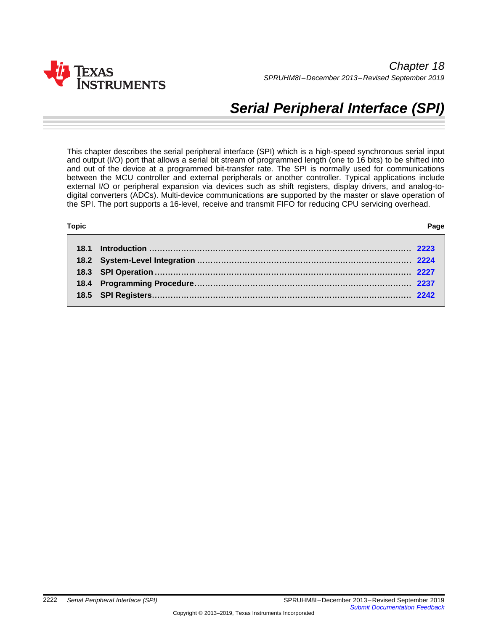

# *Serial Peripheral Interface (SPI)*

This chapter describes the serial peripheral interface (SPI) which is a high-speed synchronous serial input and output (I/O) port that allows a serial bit stream of programmed length (one to 16 bits) to be shifted into and out of the device at a programmed bit-transfer rate. The SPI is normally used for communications between the MCU controller and external peripherals or another controller. Typical applications include external I/O or peripheral expansion via devices such as shift registers, display drivers, and analog-todigital converters (ADCs). Multi-device communications are supported by the master or slave operation of the SPI. The port supports a 16-level, receive and transmit FIFO for reducing CPU servicing overhead.

# **Topic** ........................................................................................................................... **Page**

| ×<br>۰,<br>× |
|--------------|
|--------------|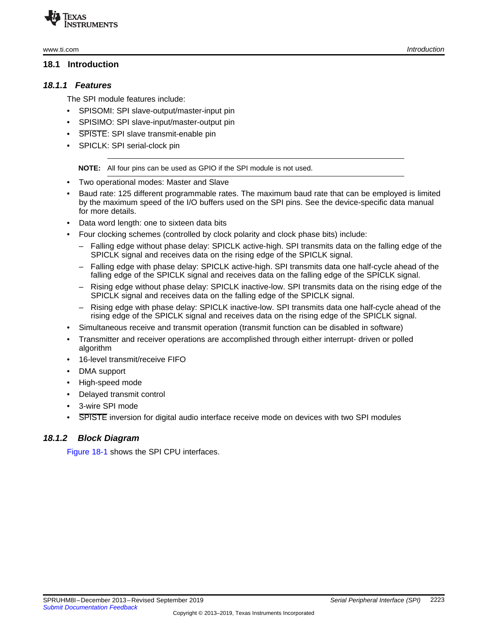#### <span id="page-1-0"></span>**18.1 Introduction**

#### *18.1.1 Features*

The SPI module features include:

- SPISOMI: SPI slave-output/master-input pin
- SPISIMO: SPI slave-input/master-output pin
- **SPISTE: SPI slave transmit-enable pin**
- SPICLK: SPI serial-clock pin

**NOTE:** All four pins can be used as GPIO if the SPI module is not used.

- Two operational modes: Master and Slave
- Baud rate: 125 different programmable rates. The maximum baud rate that can be employed is limited by the maximum speed of the I/O buffers used on the SPI pins. See the device-specific data manual for more details.
- Data word length: one to sixteen data bits
- Four clocking schemes (controlled by clock polarity and clock phase bits) include:
	- Falling edge without phase delay: SPICLK active-high. SPI transmits data on the falling edge of the SPICLK signal and receives data on the rising edge of the SPICLK signal.
	- Falling edge with phase delay: SPICLK active-high. SPI transmits data one half-cycle ahead of the falling edge of the SPICLK signal and receives data on the falling edge of the SPICLK signal.
	- Rising edge without phase delay: SPICLK inactive-low. SPI transmits data on the rising edge of the SPICLK signal and receives data on the falling edge of the SPICLK signal.
	- Rising edge with phase delay: SPICLK inactive-low. SPI transmits data one half-cycle ahead of the rising edge of the SPICLK signal and receives data on the rising edge of the SPICLK signal.
- Simultaneous receive and transmit operation (transmit function can be disabled in software)
- Transmitter and receiver operations are accomplished through either interrupt- driven or polled algorithm
- 16-level transmit/receive FIFO
- DMA support
- High-speed mode
- Delayed transmit control
- 3-wire SPI mode
- SPISTE inversion for digital audio interface receive mode on devices with two SPI modules

# *18.1.2 Block Diagram*

[Figure](#page-2-1) 18-1 shows the SPI CPU interfaces.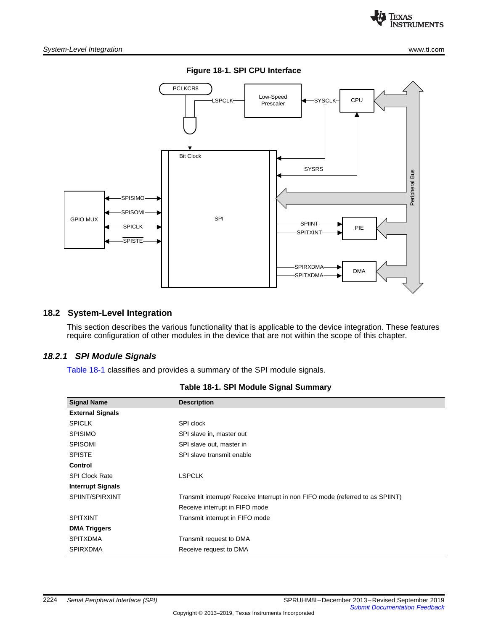

<span id="page-2-1"></span>

# <span id="page-2-0"></span>**18.2 System-Level Integration**

This section describes the various functionality that is applicable to the device integration. These features require configuration of other modules in the device that are not within the scope of this chapter.

# <span id="page-2-2"></span>*18.2.1 SPI Module Signals*

[Table](#page-2-2) 18-1 classifies and provides a summary of the SPI module signals.

| <b>Signal Name</b>       | <b>Description</b>                                                             |
|--------------------------|--------------------------------------------------------------------------------|
| <b>External Signals</b>  |                                                                                |
| <b>SPICLK</b>            | SPI clock                                                                      |
| <b>SPISIMO</b>           | SPI slave in, master out                                                       |
| <b>SPISOMI</b>           | SPI slave out, master in                                                       |
| <b>SPISTE</b>            | SPI slave transmit enable                                                      |
| <b>Control</b>           |                                                                                |
| <b>SPI Clock Rate</b>    | <b>LSPCLK</b>                                                                  |
| <b>Interrupt Signals</b> |                                                                                |
| SPIINT/SPIRXINT          | Transmit interrupt/ Receive Interrupt in non FIFO mode (referred to as SPIINT) |
|                          | Receive interrupt in FIFO mode                                                 |
| <b>SPITXINT</b>          | Transmit interrupt in FIFO mode                                                |
| <b>DMA Triggers</b>      |                                                                                |
| <b>SPITXDMA</b>          | Transmit request to DMA                                                        |
| <b>SPIRXDMA</b>          | Receive request to DMA                                                         |

| Table 18-1. SPI Module Signal Summary |  |  |  |  |
|---------------------------------------|--|--|--|--|
|---------------------------------------|--|--|--|--|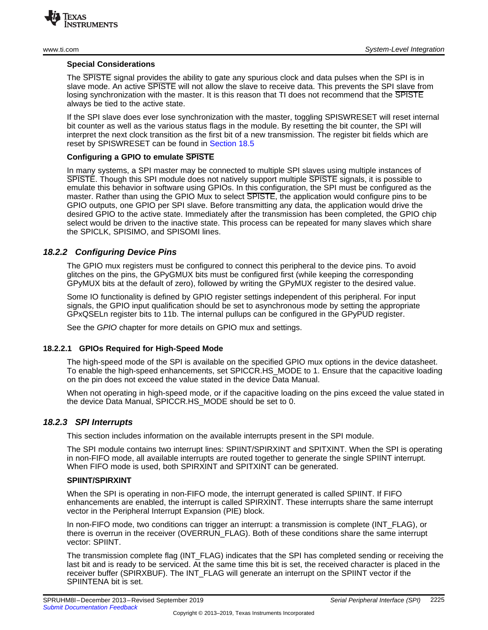

#### **Special Considerations**

The SPISTE signal provides the ability to gate any spurious clock and data pulses when the SPI is in slave mode. An active SPISTE will not allow the slave to receive data. This prevents the SPI slave from losing synchronization with the master. It is this reason that TI does not recommend that the SPISTE always be tied to the active state.

If the SPI slave does ever lose synchronization with the master, toggling SPISWRESET will reset internal bit counter as well as the various status flags in the module. By resetting the bit counter, the SPI will interpret the next clock transition as the first bit of a new transmission. The register bit fields which are reset by SPISWRESET can be found in [Section](#page-9-0) 18.5

### **Configuring a GPIO to emulate SPISTE**

In many systems, a SPI master may be connected to multiple SPI slaves using multiple instances of SPISTE. Though this SPI module does not natively support multiple SPISTE signals, it is possible to emulate this behavior in software using GPIOs. In this configuration, the SPI must be configured as the master. Rather than using the GPIO Mux to select SPISTE, the application would configure pins to be GPIO outputs, one GPIO per SPI slave. Before transmitting any data, the application would drive the desired GPIO to the active state. Immediately after the transmission has been completed, the GPIO chip select would be driven to the inactive state. This process can be repeated for many slaves which share the SPICLK, SPISIMO, and SPISOMI lines.

# *18.2.2 Configuring Device Pins*

The GPIO mux registers must be configured to connect this peripheral to the device pins. To avoid glitches on the pins, the GPyGMUX bits must be configured first (while keeping the corresponding GPyMUX bits at the default of zero), followed by writing the GPyMUX register to the desired value.

Some IO functionality is defined by GPIO register settings independent of this peripheral. For input signals, the GPIO input qualification should be set to asynchronous mode by setting the appropriate GPxQSELn register bits to 11b. The internal pullups can be configured in the GPyPUD register.

See the *GPIO* chapter for more details on GPIO mux and settings.

#### **18.2.2.1 GPIOs Required for High-Speed Mode**

The high-speed mode of the SPI is available on the specified GPIO mux options in the device datasheet. To enable the high-speed enhancements, set SPICCR.HS\_MODE to 1. Ensure that the capacitive loading on the pin does not exceed the value stated in the device Data Manual.

When not operating in high-speed mode, or if the capacitive loading on the pins exceed the value stated in the device Data Manual, SPICCR.HS\_MODE should be set to 0.

# <span id="page-3-0"></span>*18.2.3 SPI Interrupts*

This section includes information on the available interrupts present in the SPI module.

The SPI module contains two interrupt lines: SPIINT/SPIRXINT and SPITXINT. When the SPI is operating in non-FIFO mode, all available interrupts are routed together to generate the single SPIINT interrupt. When FIFO mode is used, both SPIRXINT and SPITXINT can be generated.

#### **SPIINT/SPIRXINT**

When the SPI is operating in non-FIFO mode, the interrupt generated is called SPIINT. If FIFO enhancements are enabled, the interrupt is called SPIRXINT. These interrupts share the same interrupt vector in the Peripheral Interrupt Expansion (PIE) block.

In non-FIFO mode, two conditions can trigger an interrupt: a transmission is complete (INT\_FLAG), or there is overrun in the receiver (OVERRUN\_FLAG). Both of these conditions share the same interrupt vector: SPIINT.

The transmission complete flag (INT\_FLAG) indicates that the SPI has completed sending or receiving the last bit and is ready to be serviced. At the same time this bit is set, the received character is placed in the receiver buffer (SPIRXBUF). The INT\_FLAG will generate an interrupt on the SPIINT vector if the SPIINTENA bit is set.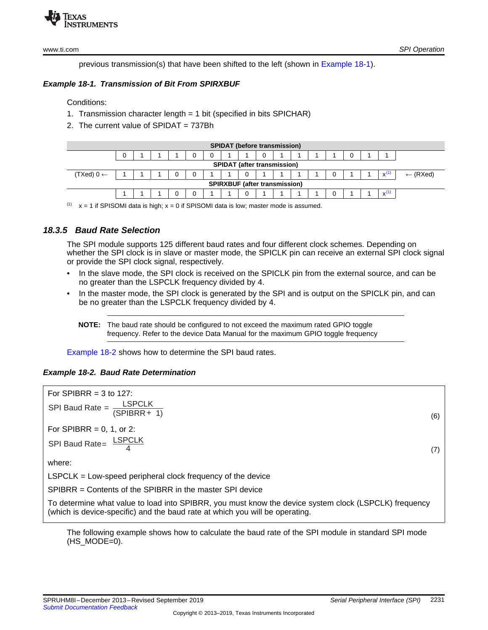

previous transmission(s) that have been shifted to the left (shown in [Example](#page-4-0) 18-1).

# <span id="page-4-0"></span>*Example 18-1. Transmission of Bit From SPIRXBUF*

Conditions:

- 1. Transmission character length = 1 bit (specified in bits SPICHAR)
- 2. The current value of SPIDAT = 737Bh

| <b>SPIDAT (before transmission)</b>  |  |  |  |  |  |  |  |  |  |  |  |              |                     |
|--------------------------------------|--|--|--|--|--|--|--|--|--|--|--|--------------|---------------------|
|                                      |  |  |  |  |  |  |  |  |  |  |  |              |                     |
| <b>SPIDAT (after transmission)</b>   |  |  |  |  |  |  |  |  |  |  |  |              |                     |
| (TXed) $0 \leftarrow$                |  |  |  |  |  |  |  |  |  |  |  | $\mathbf{v}$ | $\leftarrow$ (RXed) |
| <b>SPIRXBUF (after transmission)</b> |  |  |  |  |  |  |  |  |  |  |  |              |                     |
|                                      |  |  |  |  |  |  |  |  |  |  |  |              |                     |

 $(1)$  x = 1 if SPISOMI data is high; x = 0 if SPISOMI data is low; master mode is assumed.

# *18.3.5 Baud Rate Selection*

The SPI module supports 125 different baud rates and four different clock schemes. Depending on whether the SPI clock is in slave or master mode, the SPICLK pin can receive an external SPI clock signal or provide the SPI clock signal, respectively.

- In the slave mode, the SPI clock is received on the SPICLK pin from the external source, and can be no greater than the LSPCLK frequency divided by 4.
- In the master mode, the SPI clock is generated by the SPI and is output on the SPICLK pin, and can be no greater than the LSPCLK frequency divided by 4.
	- **NOTE:** The baud rate should be configured to not exceed the maximum rated GPIO toggle frequency. Refer to the device Data Manual for the maximum GPIO toggle frequency

[Example](#page-4-1) 18-2 shows how to determine the SPI baud rates.

# <span id="page-4-1"></span>*Example 18-2. Baud Rate Determination*



The following example shows how to calculate the baud rate of the SPI module in standard SPI mode  $(HS_MODE=0)$ .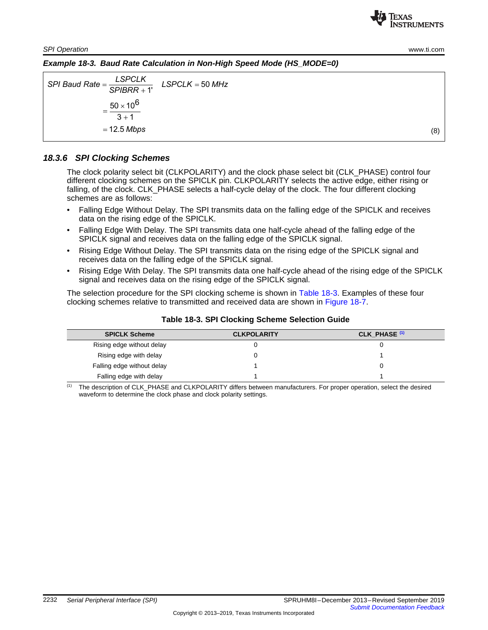**RUMENTS** 

Texas

*SPI Operation* [www.ti.com](http://www.ti.com)

*Example 18-3. Baud Rate Calculation in Non-High Speed Mode (HS\_MODE=0)*

 $\begin{aligned} \mathsf{SPI}\; \mathsf{Baud}\; \mathsf{Rate} = \frac{\mathsf{LSPCLK}}{\mathsf{SPIBRR} + 1'} \quad \mathsf{LSPCLK} = 50\;\mathsf{MHz} \end{aligned}$  $50 \times 10^6$  $3 + 1$ 12.5 *Mbps* =  $=\frac{LSPCLN}{SPIBRR + 1}$  LSPCLK =  $=\frac{50 \times 1}{3+1}$ (8)

# *18.3.6 SPI Clocking Schemes*

The clock polarity select bit (CLKPOLARITY) and the clock phase select bit (CLK\_PHASE) control four different clocking schemes on the SPICLK pin. CLKPOLARITY selects the active edge, either rising or falling, of the clock. CLK\_PHASE selects a half-cycle delay of the clock. The four different clocking schemes are as follows:

- Falling Edge Without Delay. The SPI transmits data on the falling edge of the SPICLK and receives data on the rising edge of the SPICLK.
- Falling Edge With Delay. The SPI transmits data one half-cycle ahead of the falling edge of the SPICLK signal and receives data on the falling edge of the SPICLK signal.
- Rising Edge Without Delay. The SPI transmits data on the rising edge of the SPICLK signal and receives data on the falling edge of the SPICLK signal.
- Rising Edge With Delay. The SPI transmits data one half-cycle ahead of the rising edge of the SPICLK signal and receives data on the rising edge of the SPICLK signal.

The selection procedure for the SPI clocking scheme is shown in [Table](#page-5-0) 18-3. Examples of these four clocking schemes relative to transmitted and received data are shown in [Figure](#page-6-0) 18-7.

<span id="page-5-0"></span>

| <b>SPICLK Scheme</b>       | <b>CLKPOLARITY</b> | CLK PHASE <sup>(1)</sup> |
|----------------------------|--------------------|--------------------------|
| Rising edge without delay  |                    |                          |
| Rising edge with delay     |                    |                          |
| Falling edge without delay |                    |                          |
| Falling edge with delay    |                    |                          |

### **Table 18-3. SPI Clocking Scheme Selection Guide**

(1) The description of CLK\_PHASE and CLKPOLARITY differs between manufacturers. For proper operation, select the desired waveform to determine the clock phase and clock polarity settings.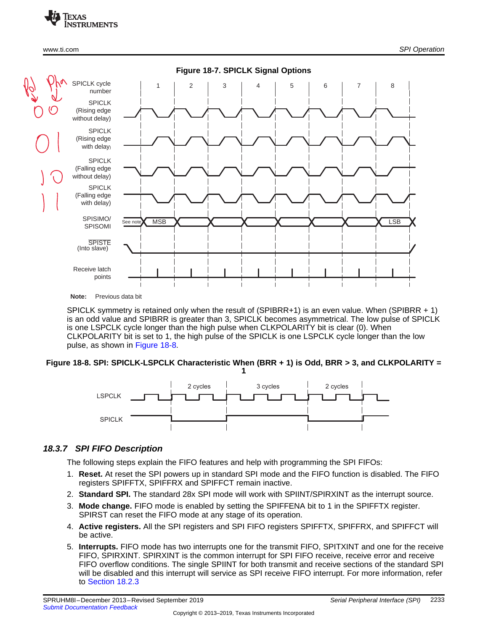<span id="page-6-0"></span>

SPICLK symmetry is retained only when the result of (SPIBRR+1) is an even value. When (SPIBRR + 1) is an odd value and SPIBRR is greater than 3, SPICLK becomes asymmetrical. The low pulse of SPICLK is one LSPCLK cycle longer than the high pulse when CLKPOLARITY bit is clear (0). When CLKPOLARITY bit is set to 1, the high pulse of the SPICLK is one LSPCLK cycle longer than the low pulse, as shown in [Figure](#page-6-1) 18-8.

#### <span id="page-6-1"></span>**Figure 18-8. SPI: SPICLK-LSPCLK Characteristic When (BRR + 1) is Odd, BRR > 3, and CLKPOLARITY = 1**



# *18.3.7 SPI FIFO Description*

The following steps explain the FIFO features and help with programming the SPI FIFOs:

- 1. **Reset.** At reset the SPI powers up in standard SPI mode and the FIFO function is disabled. The FIFO registers SPIFFTX, SPIFFRX and SPIFFCT remain inactive.
- 2. **Standard SPI.** The standard 28x SPI mode will work with SPIINT/SPIRXINT as the interrupt source.
- 3. **Mode change.** FIFO mode is enabled by setting the SPIFFENA bit to 1 in the SPIFFTX register. SPIRST can reset the FIFO mode at any stage of its operation.
- 4. **Active registers.** All the SPI registers and SPI FIFO registers SPIFFTX, SPIFFRX, and SPIFFCT will be active.
- 5. **Interrupts.** FIFO mode has two interrupts one for the transmit FIFO, SPITXINT and one for the receive FIFO, SPIRXINT. SPIRXINT is the common interrupt for SPI FIFO receive, receive error and receive FIFO overflow conditions. The single SPIINT for both transmit and receive sections of the standard SPI will be disabled and this interrupt will service as SPI receive FIFO interrupt. For more information, refer to [Section](#page-3-0) 18.2.3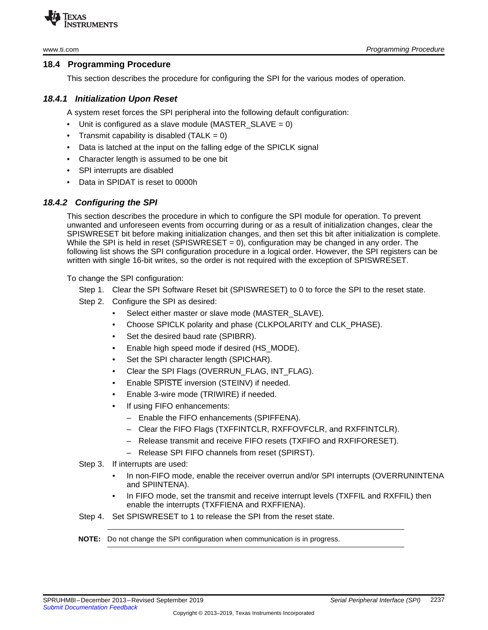

# <span id="page-7-0"></span>**18.4 Programming Procedure**

This section describes the procedure for configuring the SPI for the various modes of operation.

# *18.4.1 Initialization Upon Reset*

A system reset forces the SPI peripheral into the following default configuration:

- Unit is configured as a slave module (MASTER SLAVE = 0)
- Transmit capability is disabled  $(TALK = 0)$
- Data is latched at the input on the falling edge of the SPICLK signal
- Character length is assumed to be one bit
- SPI interrupts are disabled
- Data in SPIDAT is reset to 0000h

# *18.4.2 Configuring the SPI*

This section describes the procedure in which to configure the SPI module for operation. To prevent unwanted and unforeseen events from occurring during or as a result of initialization changes, clear the SPISWRESET bit before making initialization changes, and then set this bit after initialization is complete. While the SPI is held in reset (SPISWRESET = 0), configuration may be changed in any order. The following list shows the SPI configuration procedure in a logical order. However, the SPI registers can be written with single 16-bit writes, so the order is not required with the exception of SPISWRESET.

To change the SPI configuration:

- Step 1. Clear the SPI Software Reset bit (SPISWRESET) to 0 to force the SPI to the reset state.
- Step 2. Configure the SPI as desired:
	- Select either master or slave mode (MASTER\_SLAVE).
	- Choose SPICLK polarity and phase (CLKPOLARITY and CLK\_PHASE).
	- Set the desired baud rate (SPIBRR).
	- Enable high speed mode if desired (HS\_MODE).
	- Set the SPI character length (SPICHAR).
	- Clear the SPI Flags (OVERRUN\_FLAG, INT\_FLAG).
	- Enable SPISTE inversion (STEINV) if needed.
	- Enable 3-wire mode (TRIWIRE) if needed.
	- If using FIFO enhancements:
		- Enable the FIFO enhancements (SPIFFENA).
		- Clear the FIFO Flags (TXFFINTCLR, RXFFOVFCLR, and RXFFINTCLR).
		- Release transmit and receive FIFO resets (TXFIFO and RXFIFORESET).
		- Release SPI FIFO channels from reset (SPIRST).

# Step 3. If interrupts are used:

- In non-FIFO mode, enable the receiver overrun and/or SPI interrupts (OVERRUNINTENA and SPIINTENA).
- In FIFO mode, set the transmit and receive interrupt levels (TXFFIL and RXFFIL) then enable the interrupts (TXFFIENA and RXFFIENA).

Step 4. Set SPISWRESET to 1 to release the SPI from the reset state.

**NOTE:** Do not change the SPI configuration when communication is in progress.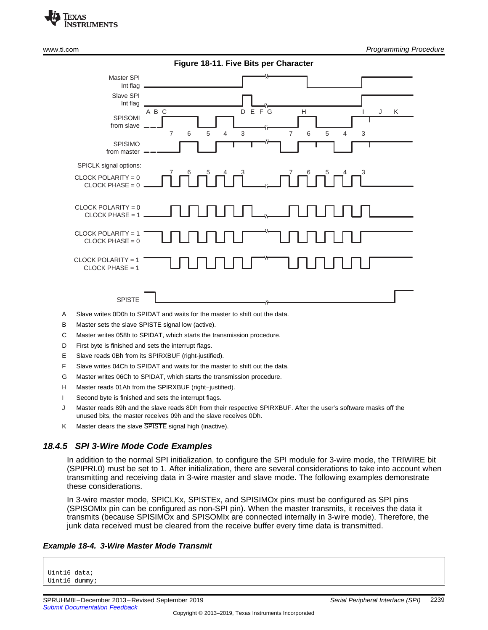

|                                           | Figure 18-11. Five Bits per Character                                                                                              |
|-------------------------------------------|------------------------------------------------------------------------------------------------------------------------------------|
| Master SPI<br>Int flag                    |                                                                                                                                    |
| Slave SPI<br>Int flag                     |                                                                                                                                    |
| SPISOMI<br>from slave                     | DEFG<br>A B C<br>H<br>K<br>J<br>$\overline{7}$<br>5<br>3<br>$\overline{7}$<br>6<br>5<br>6<br>$\overline{4}$<br>3<br>$\overline{4}$ |
| <b>SPISIMO</b><br>from master             |                                                                                                                                    |
| SPICLK signal options:                    |                                                                                                                                    |
| CLOCK POLARITY = 0<br>$CLOCK PHASE = 0$   |                                                                                                                                    |
| CLOCK POLARITY = 0<br>$CLOCK PHASE = 1$   |                                                                                                                                    |
| CLOCK POLARITY = $1$<br>$CLOCK PHASE = 0$ |                                                                                                                                    |
| CLOCK POLARITY = $1$<br>$CLOCK PHASE = 1$ |                                                                                                                                    |
| <b>SPISTE</b>                             | $\mathcal{L}$                                                                                                                      |

- A Slave writes 0D0h to SPIDAT and waits for the master to shift out the data.
- B Master sets the slave SPISTE signal low (active).
- C Master writes 058h to SPIDAT, which starts the transmission procedure.
- D First byte is finished and sets the interrupt flags.
- E Slave reads 0Bh from its SPIRXBUF (right-justified).
- F Slave writes 04Ch to SPIDAT and waits for the master to shift out the data.
- G Master writes 06Ch to SPIDAT, which starts the transmission procedure.
- H Master reads 01Ah from the SPIRXBUF (right-justified).
- I Second byte is finished and sets the interrupt flags.
- J Master reads 89h and the slave reads 8Dh from their respective SPIRXBUF. After the user's software masks off the unused bits, the master receives 09h and the slave receives 0Dh.
- K Master clears the slave SPISTE signal high (inactive).

#### *18.4.5 SPI 3-Wire Mode Code Examples*

In addition to the normal SPI initialization, to configure the SPI module for 3-wire mode, the TRIWIRE bit (SPIPRI.0) must be set to 1. After initialization, there are several considerations to take into account when transmitting and receiving data in 3-wire master and slave mode. The following examples demonstrate these considerations.

In 3-wire master mode, SPICLKx, SPISTEx, and SPISIMOx pins must be configured as SPI pins (SPISOMIx pin can be configured as non-SPI pin). When the master transmits, it receives the data it transmits (because SPISIMOx and SPISOMIx are connected internally in 3-wire mode). Therefore, the junk data received must be cleared from the receive buffer every time data is transmitted.

#### *Example 18-4. 3-Wire Master Mode Transmit*

Uint16 data; Uint16 dummy;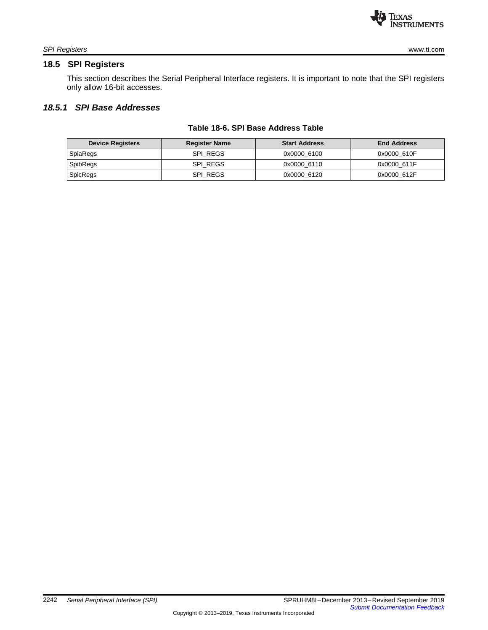

# <span id="page-9-0"></span>**18.5 SPI Registers**

This section describes the Serial Peripheral Interface registers. It is important to note that the SPI registers only allow 16-bit accesses.

# *18.5.1 SPI Base Addresses*

| <b>Device Registers</b> | <b>Register Name</b> | <b>Start Address</b> | <b>End Address</b> |
|-------------------------|----------------------|----------------------|--------------------|
| SpiaRegs                | SPI REGS             | 0x0000 6100          | 0x0000 610F        |
| SpibRegs                | SPI REGS             | 0x0000 6110          | 0x0000 611F        |
| SpicRegs                | SPI REGS             | 0x0000 6120          | 0x0000 612F        |

#### **Table 18-6. SPI Base Address Table**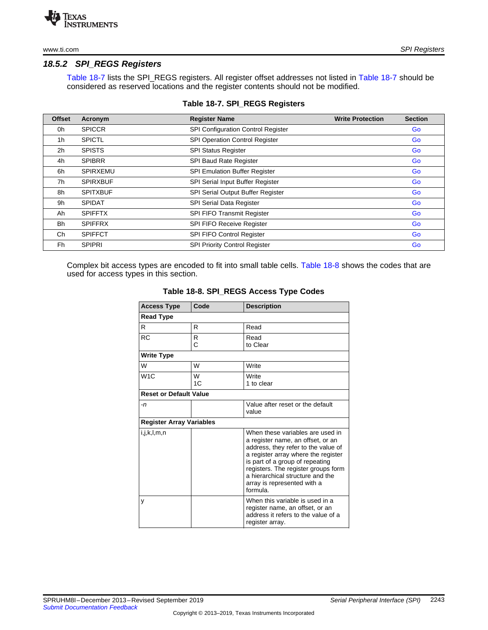# *18.5.2 SPI\_REGS Registers*

[Table](#page-10-0) 18-7 lists the SPI\_REGS registers. All register offset addresses not listed in [Table](#page-10-0) 18-7 should be considered as reserved locations and the register contents should not be modified.

<span id="page-10-0"></span>

| <b>Offset</b>  | Acronym         | <b>Register Name</b>                  | <b>Write Protection</b> | <b>Section</b> |
|----------------|-----------------|---------------------------------------|-------------------------|----------------|
| 0h             | <b>SPICCR</b>   | SPI Configuration Control Register    |                         | Go             |
| 1 <sub>h</sub> | <b>SPICTL</b>   | <b>SPI Operation Control Register</b> |                         | Go             |
| 2h             | <b>SPISTS</b>   | <b>SPI Status Register</b>            |                         | Go             |
| 4h             | <b>SPIBRR</b>   | SPI Baud Rate Register                |                         | Go             |
| 6h             | <b>SPIRXEMU</b> | SPI Emulation Buffer Register         |                         | Go             |
| 7h             | <b>SPIRXBUF</b> | SPI Serial Input Buffer Register      |                         | Go             |
| 8h             | <b>SPITXBUF</b> | SPI Serial Output Buffer Register     |                         | Go             |
| 9h             | <b>SPIDAT</b>   | <b>SPI Serial Data Register</b>       |                         | Go             |
| Ah             | <b>SPIFFTX</b>  | SPI FIFO Transmit Register            |                         | Go             |
| <b>Bh</b>      | <b>SPIFFRX</b>  | SPI FIFO Receive Register             |                         | Go             |
| Ch             | <b>SPIFFCT</b>  | <b>SPI FIFO Control Register</b>      |                         | Go             |
| Fh             | <b>SPIPRI</b>   | <b>SPI Priority Control Register</b>  |                         | Go             |

#### **Table 18-7. SPI\_REGS Registers**

<span id="page-10-1"></span>Complex bit access types are encoded to fit into small table cells. [Table](#page-10-1) 18-8 shows the codes that are used for access types in this section.

| <b>Access Type</b>              | Code    | <b>Description</b>                                                                                                                                                                                                                                                                                           |
|---------------------------------|---------|--------------------------------------------------------------------------------------------------------------------------------------------------------------------------------------------------------------------------------------------------------------------------------------------------------------|
| <b>Read Type</b>                |         |                                                                                                                                                                                                                                                                                                              |
| R                               | R       | Read                                                                                                                                                                                                                                                                                                         |
| <b>RC</b>                       | R<br>C  | Read<br>to Clear                                                                                                                                                                                                                                                                                             |
| <b>Write Type</b>               |         |                                                                                                                                                                                                                                                                                                              |
| W                               | W       | Write                                                                                                                                                                                                                                                                                                        |
| W1C                             | W<br>1C | Write<br>1 to clear                                                                                                                                                                                                                                                                                          |
| <b>Reset or Default Value</b>   |         |                                                                                                                                                                                                                                                                                                              |
| $-n$                            |         | Value after reset or the default<br>value                                                                                                                                                                                                                                                                    |
| <b>Register Array Variables</b> |         |                                                                                                                                                                                                                                                                                                              |
| i,j,k,l,m,n                     |         | When these variables are used in<br>a register name, an offset, or an<br>address, they refer to the value of<br>a register array where the register<br>is part of a group of repeating<br>registers. The register groups form<br>a hierarchical structure and the<br>array is represented with a<br>formula. |
| V                               |         | When this variable is used in a<br>register name, an offset, or an<br>address it refers to the value of a<br>register array.                                                                                                                                                                                 |

#### **Table 18-8. SPI\_REGS Access Type Codes**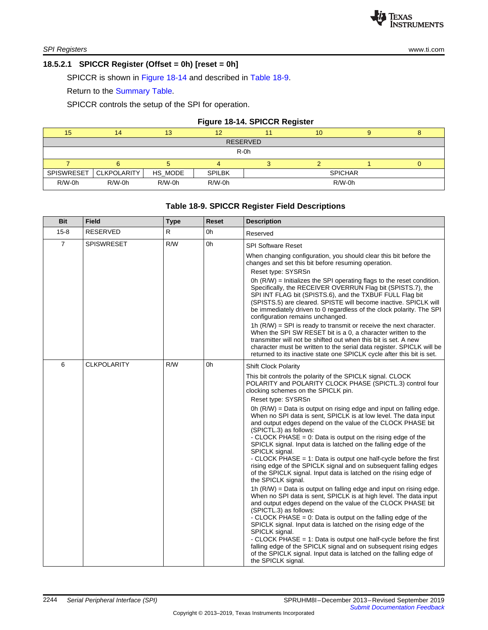# <span id="page-11-0"></span>**18.5.2.1 SPICCR Register (Offset = 0h) [reset = 0h]**

SPICCR is shown in [Figure](#page-11-1) 18-14 and described in [Table](#page-11-2) 18-9.

Return to the [Summary](#page-10-0) Table.

SPICCR controls the setup of the SPI for operation.

#### **Figure 18-14. SPICCR Register**

<span id="page-11-1"></span>

| 15                | 14                 | 13       | 12            |  | 10             |  |  |  |
|-------------------|--------------------|----------|---------------|--|----------------|--|--|--|
| <b>RESERVED</b>   |                    |          |               |  |                |  |  |  |
|                   |                    |          | $R-0h$        |  |                |  |  |  |
|                   |                    |          |               |  |                |  |  |  |
| <b>SPISWRESET</b> | <b>CLKPOLARITY</b> | HS_MODE  | <b>SPILBK</b> |  | <b>SPICHAR</b> |  |  |  |
| R/W-0h            | $R/W-0h$           | $R/W-0h$ | $R/W-0h$      |  | $R/W-0h$       |  |  |  |

# **Table 18-9. SPICCR Register Field Descriptions**

<span id="page-11-2"></span>

| <b>Bit</b>     | <b>Field</b>       | <b>Type</b> | Reset | <b>Description</b>                                                                                                                                                                                                                                                                                                                                                                       |
|----------------|--------------------|-------------|-------|------------------------------------------------------------------------------------------------------------------------------------------------------------------------------------------------------------------------------------------------------------------------------------------------------------------------------------------------------------------------------------------|
| $15 - 8$       | <b>RESERVED</b>    | R           | 0h    | Reserved                                                                                                                                                                                                                                                                                                                                                                                 |
| $\overline{7}$ | <b>SPISWRESET</b>  | R/W         | 0h    | <b>SPI Software Reset</b>                                                                                                                                                                                                                                                                                                                                                                |
|                |                    |             |       | When changing configuration, you should clear this bit before the<br>changes and set this bit before resuming operation.<br>Reset type: SYSRSn                                                                                                                                                                                                                                           |
|                |                    |             |       | 0h $(R/W)$ = Initializes the SPI operating flags to the reset condition.<br>Specifically, the RECEIVER OVERRUN Flag bit (SPISTS.7), the<br>SPI INT FLAG bit (SPISTS.6), and the TXBUF FULL Flag bit<br>(SPISTS.5) are cleared. SPISTE will become inactive. SPICLK will<br>be immediately driven to 0 regardless of the clock polarity. The SPI<br>configuration remains unchanged.      |
|                |                    |             |       | 1h $(R/W)$ = SPI is ready to transmit or receive the next character.<br>When the SPI SW RESET bit is a 0, a character written to the<br>transmitter will not be shifted out when this bit is set. A new<br>character must be written to the serial data register. SPICLK will be<br>returned to its inactive state one SPICLK cycle after this bit is set.                               |
| 6              | <b>CLKPOLARITY</b> | R/W         | 0h    | <b>Shift Clock Polarity</b>                                                                                                                                                                                                                                                                                                                                                              |
|                |                    |             |       | This bit controls the polarity of the SPICLK signal. CLOCK<br>POLARITY and POLARITY CLOCK PHASE (SPICTL.3) control four<br>clocking schemes on the SPICLK pin.                                                                                                                                                                                                                           |
|                |                    |             |       | Reset type: SYSRSn                                                                                                                                                                                                                                                                                                                                                                       |
|                |                    |             |       | 0h $(R/W)$ = Data is output on rising edge and input on falling edge.<br>When no SPI data is sent, SPICLK is at low level. The data input<br>and output edges depend on the value of the CLOCK PHASE bit<br>(SPICTL.3) as follows:                                                                                                                                                       |
|                |                    |             |       | - CLOCK PHASE = $0$ : Data is output on the rising edge of the<br>SPICLK signal. Input data is latched on the falling edge of the<br>SPICLK signal.                                                                                                                                                                                                                                      |
|                |                    |             |       | - CLOCK PHASE $= 1$ : Data is output one half-cycle before the first<br>rising edge of the SPICLK signal and on subsequent falling edges<br>of the SPICLK signal. Input data is latched on the rising edge of<br>the SPICLK signal.                                                                                                                                                      |
|                |                    |             |       | 1h (R/W) = Data is output on falling edge and input on rising edge.<br>When no SPI data is sent, SPICLK is at high level. The data input<br>and output edges depend on the value of the CLOCK PHASE bit<br>(SPICTL.3) as follows:<br>- CLOCK PHASE $= 0$ : Data is output on the falling edge of the<br>SPICLK signal. Input data is latched on the rising edge of the<br>SPICLK signal. |
|                |                    |             |       | - CLOCK PHASE $= 1$ : Data is output one half-cycle before the first<br>falling edge of the SPICLK signal and on subsequent rising edges<br>of the SPICLK signal. Input data is latched on the falling edge of<br>the SPICLK signal.                                                                                                                                                     |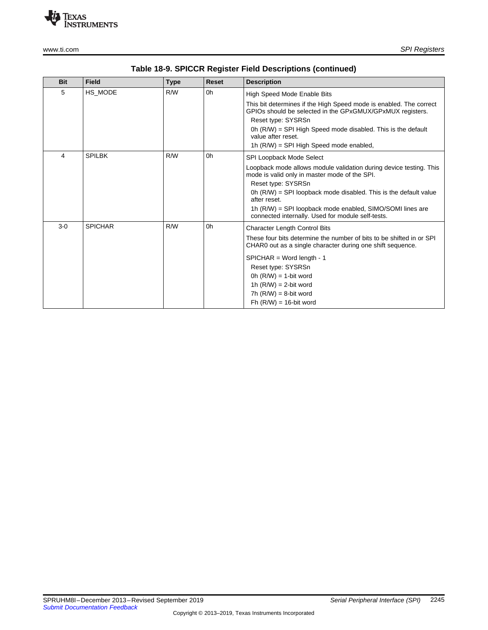

| <b>Bit</b> | <b>Field</b>   | <b>Type</b> | Reset | <b>Description</b>                                                                                                                 |
|------------|----------------|-------------|-------|------------------------------------------------------------------------------------------------------------------------------------|
| 5          | HS_MODE        | R/W         | 0h    | High Speed Mode Enable Bits                                                                                                        |
|            |                |             |       | This bit determines if the High Speed mode is enabled. The correct<br>GPIOs should be selected in the GPxGMUX/GPxMUX registers.    |
|            |                |             |       | Reset type: SYSRSn                                                                                                                 |
|            |                |             |       | 0h $(R/W)$ = SPI High Speed mode disabled. This is the default<br>value after reset.                                               |
|            |                |             |       | 1h (R/W) = SPI High Speed mode enabled,                                                                                            |
| 4          | <b>SPILBK</b>  | R/W         | 0h    | <b>SPI Loopback Mode Select</b>                                                                                                    |
|            |                |             |       | Loopback mode allows module validation during device testing. This<br>mode is valid only in master mode of the SPI.                |
|            |                |             |       | Reset type: SYSRSn                                                                                                                 |
|            |                |             |       | $0h$ (R/W) = SPI loopback mode disabled. This is the default value<br>after reset.                                                 |
|            |                |             |       | 1h (R/W) = SPI loopback mode enabled, SIMO/SOMI lines are<br>connected internally. Used for module self-tests.                     |
| $3-0$      | <b>SPICHAR</b> | R/W         | 0h    | <b>Character Length Control Bits</b>                                                                                               |
|            |                |             |       | These four bits determine the number of bits to be shifted in or SPI<br>CHAR0 out as a single character during one shift sequence. |
|            |                |             |       | $SPICHAR = Word length - 1$                                                                                                        |
|            |                |             |       | Reset type: SYSRSn                                                                                                                 |
|            |                |             |       | 0h $(R/W) = 1$ -bit word                                                                                                           |
|            |                |             |       | 1h $(R/W) = 2$ -bit word                                                                                                           |
|            |                |             |       | $7h$ (R/W) = 8-bit word                                                                                                            |
|            |                |             |       | $Fh$ (R/W) = 16-bit word                                                                                                           |

**Table 18-9. SPICCR Register Field Descriptions (continued)**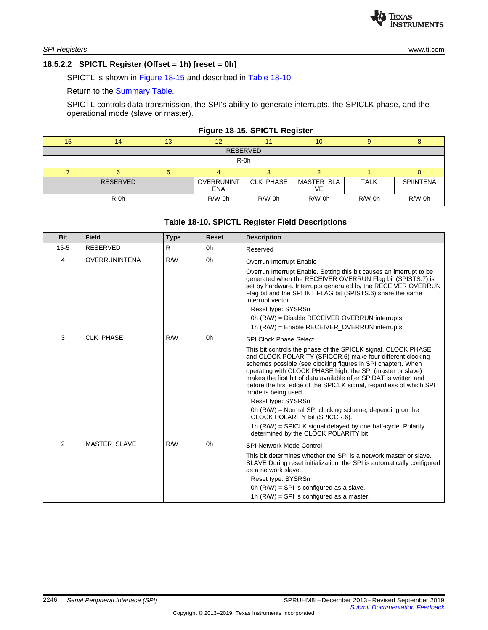#### <span id="page-13-0"></span>**18.5.2.2 SPICTL Register (Offset = 1h) [reset = 0h]**

SPICTL is shown in [Figure](#page-13-1) 18-15 and described in Table [18-10](#page-13-2).

Return to the [Summary](#page-10-0) Table.

SPICTL controls data transmission, the SPI's ability to generate interrupts, the SPICLK phase, and the operational mode (slave or master).

# **Figure 18-15. SPICTL Register**

<span id="page-13-1"></span>

| 15 | 14              | 13 | 12                       |           | 10               |             |                  |  |  |  |
|----|-----------------|----|--------------------------|-----------|------------------|-------------|------------------|--|--|--|
|    | <b>RESERVED</b> |    |                          |           |                  |             |                  |  |  |  |
|    | $R-0h$          |    |                          |           |                  |             |                  |  |  |  |
|    |                 |    |                          |           |                  |             |                  |  |  |  |
|    | <b>RESERVED</b> |    | OVERRUNINT<br><b>ENA</b> | CLK_PHASE | MASTER_SLA<br>VE | <b>TALK</b> | <b>SPIINTENA</b> |  |  |  |
|    | R-0h            |    | $R/W-0h$                 | R/W-0h    | $R/W-0h$         | $R/W-0h$    | R/W-0h           |  |  |  |

#### **Table 18-10. SPICTL Register Field Descriptions**

<span id="page-13-2"></span>

| <b>Bit</b> | <b>Field</b>        | <b>Type</b> | <b>Reset</b> | <b>Description</b>                                                                                                                                                                                                                                                                                                                                                                                                           |
|------------|---------------------|-------------|--------------|------------------------------------------------------------------------------------------------------------------------------------------------------------------------------------------------------------------------------------------------------------------------------------------------------------------------------------------------------------------------------------------------------------------------------|
| $15 - 5$   | <b>RESERVED</b>     | R           | 0h           | Reserved                                                                                                                                                                                                                                                                                                                                                                                                                     |
| 4          | OVERRUNINTENA       | R/W         | 0h           | Overrun Interrupt Enable                                                                                                                                                                                                                                                                                                                                                                                                     |
|            |                     |             |              | Overrun Interrupt Enable. Setting this bit causes an interrupt to be<br>generated when the RECEIVER OVERRUN Flag bit (SPISTS.7) is<br>set by hardware. Interrupts generated by the RECEIVER OVERRUN<br>Flag bit and the SPI INT FLAG bit (SPISTS.6) share the same<br>interrupt vector.<br>Reset type: SYSRSn                                                                                                                |
|            |                     |             |              | 0h (R/W) = Disable RECEIVER OVERRUN interrupts.<br>1h (R/W) = Enable RECEIVER_OVERRUN interrupts.                                                                                                                                                                                                                                                                                                                            |
| 3          | CLK PHASE           | R/W         | 0h           | <b>SPI Clock Phase Select</b>                                                                                                                                                                                                                                                                                                                                                                                                |
|            |                     |             |              | This bit controls the phase of the SPICLK signal. CLOCK PHASE<br>and CLOCK POLARITY (SPICCR.6) make four different clocking<br>schemes possible (see clocking figures in SPI chapter). When<br>operating with CLOCK PHASE high, the SPI (master or slave)<br>makes the first bit of data available after SPIDAT is written and<br>before the first edge of the SPICLK signal, regardless of which SPI<br>mode is being used. |
|            |                     |             |              | Reset type: SYSRSn<br>0h $(R/W)$ = Normal SPI clocking scheme, depending on the<br>CLOCK POLARITY bit (SPICCR.6).                                                                                                                                                                                                                                                                                                            |
|            |                     |             |              | 1h (R/W) = SPICLK signal delayed by one half-cycle. Polarity<br>determined by the CLOCK POLARITY bit.                                                                                                                                                                                                                                                                                                                        |
| 2          | <b>MASTER SLAVE</b> | R/W         | 0h           | <b>SPI Network Mode Control</b>                                                                                                                                                                                                                                                                                                                                                                                              |
|            |                     |             |              | This bit determines whether the SPI is a network master or slave.<br>SLAVE During reset initialization, the SPI is automatically configured<br>as a network slave.                                                                                                                                                                                                                                                           |
|            |                     |             |              | Reset type: SYSRSn                                                                                                                                                                                                                                                                                                                                                                                                           |
|            |                     |             |              | 0h $(R/W)$ = SPI is configured as a slave.<br>1h $(R/W)$ = SPI is configured as a master.                                                                                                                                                                                                                                                                                                                                    |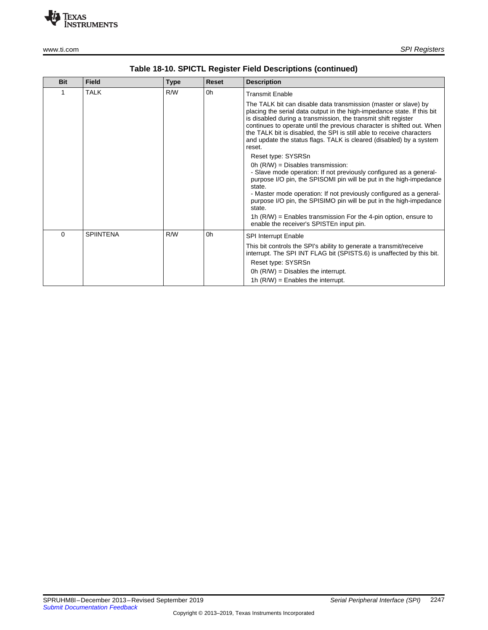

| <b>Bit</b> | <b>Field</b>     | <b>Type</b> | Reset | <b>Description</b>                                                                                                                                                                                                                                                                                                                                                                                                                               |
|------------|------------------|-------------|-------|--------------------------------------------------------------------------------------------------------------------------------------------------------------------------------------------------------------------------------------------------------------------------------------------------------------------------------------------------------------------------------------------------------------------------------------------------|
| 1          | <b>TALK</b>      | R/W         | 0h    | <b>Transmit Enable</b>                                                                                                                                                                                                                                                                                                                                                                                                                           |
|            |                  |             |       | The TALK bit can disable data transmission (master or slave) by<br>placing the serial data output in the high-impedance state. If this bit<br>is disabled during a transmission, the transmit shift register<br>continues to operate until the previous character is shifted out. When<br>the TALK bit is disabled, the SPI is still able to receive characters<br>and update the status flags. TALK is cleared (disabled) by a system<br>reset. |
|            |                  |             |       | Reset type: SYSRSn                                                                                                                                                                                                                                                                                                                                                                                                                               |
|            |                  |             |       | Oh $(R/W)$ = Disables transmission:<br>- Slave mode operation: If not previously configured as a general-<br>purpose I/O pin, the SPISOMI pin will be put in the high-impedance<br>state.<br>- Master mode operation: If not previously configured as a general-<br>purpose I/O pin, the SPISIMO pin will be put in the high-impedance<br>state.                                                                                                 |
|            |                  |             |       | 1h $(R/W)$ = Enables transmission For the 4-pin option, ensure to<br>enable the receiver's SPISTEn input pin.                                                                                                                                                                                                                                                                                                                                    |
| $\Omega$   | <b>SPIINTENA</b> | R/W         | 0h    | <b>SPI Interrupt Enable</b>                                                                                                                                                                                                                                                                                                                                                                                                                      |
|            |                  |             |       | This bit controls the SPI's ability to generate a transmit/receive<br>interrupt. The SPI INT FLAG bit (SPISTS.6) is unaffected by this bit.<br>Reset type: SYSRSn                                                                                                                                                                                                                                                                                |
|            |                  |             |       | Oh $(R/W)$ = Disables the interrupt.                                                                                                                                                                                                                                                                                                                                                                                                             |
|            |                  |             |       | 1h $(R/W)$ = Enables the interrupt.                                                                                                                                                                                                                                                                                                                                                                                                              |

# **Table 18-10. SPICTL Register Field Descriptions (continued)**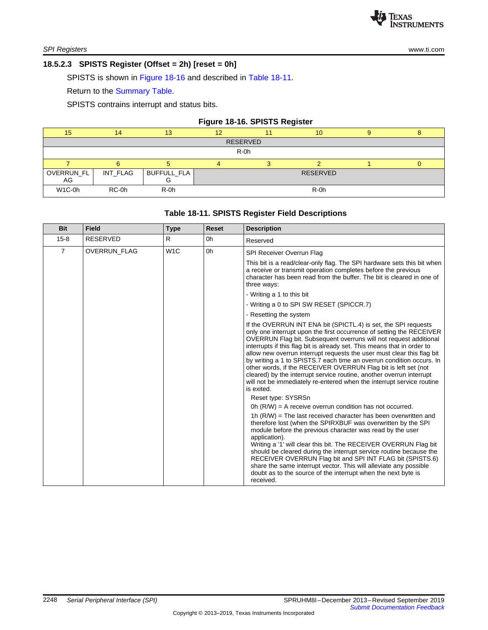# <span id="page-15-0"></span>**18.5.2.3 SPISTS Register (Offset = 2h) [reset = 0h]**

SPISTS is shown in [Figure](#page-15-1) 18-16 and described in Table [18-11.](#page-15-2)

Return to the [Summary](#page-10-0) Table.

SPISTS contrains interrupt and status bits.

<span id="page-15-1"></span>

| Figure 18-16. SPISTS Register |          |             |    |  |                 |   |  |  |
|-------------------------------|----------|-------------|----|--|-----------------|---|--|--|
| 15                            | 14       | 13          | 12 |  | 10              | 9 |  |  |
| <b>RESERVED</b>               |          |             |    |  |                 |   |  |  |
| $R-0h$                        |          |             |    |  |                 |   |  |  |
|                               |          |             | 4  |  |                 |   |  |  |
| OVERRUN_FL<br>AG              | INT FLAG | BUFFULL_FLA |    |  | <b>RESERVED</b> |   |  |  |
| W <sub>1</sub> C-0h           | RC-0h    | $R-0h$      |    |  | $R-0h$          |   |  |  |

# **Table 18-11. SPISTS Register Field Descriptions**

<span id="page-15-2"></span>

| <b>Bit</b> | <b>Field</b>        | <b>Type</b>      | <b>Reset</b> | <b>Description</b>                                                                                                                                                                                                                                                                                                                                                                                                                                                                                                                                                                                                                                                        |
|------------|---------------------|------------------|--------------|---------------------------------------------------------------------------------------------------------------------------------------------------------------------------------------------------------------------------------------------------------------------------------------------------------------------------------------------------------------------------------------------------------------------------------------------------------------------------------------------------------------------------------------------------------------------------------------------------------------------------------------------------------------------------|
| $15 - 8$   | <b>RESERVED</b>     | R                | 0h           | Reserved                                                                                                                                                                                                                                                                                                                                                                                                                                                                                                                                                                                                                                                                  |
| 7          | <b>OVERRUN FLAG</b> | W <sub>1</sub> C | 0h           | SPI Receiver Overrun Flag                                                                                                                                                                                                                                                                                                                                                                                                                                                                                                                                                                                                                                                 |
|            |                     |                  |              | This bit is a read/clear-only flag. The SPI hardware sets this bit when<br>a receive or transmit operation completes before the previous<br>character has been read from the buffer. The bit is cleared in one of<br>three ways:                                                                                                                                                                                                                                                                                                                                                                                                                                          |
|            |                     |                  |              | - Writing a 1 to this bit                                                                                                                                                                                                                                                                                                                                                                                                                                                                                                                                                                                                                                                 |
|            |                     |                  |              | - Writing a 0 to SPI SW RESET (SPICCR.7)                                                                                                                                                                                                                                                                                                                                                                                                                                                                                                                                                                                                                                  |
|            |                     |                  |              | - Resetting the system                                                                                                                                                                                                                                                                                                                                                                                                                                                                                                                                                                                                                                                    |
|            |                     |                  |              | If the OVERRUN INT ENA bit (SPICTL.4) is set, the SPI requests<br>only one interrupt upon the first occurrence of setting the RECEIVER<br>OVERRUN Flag bit. Subsequent overruns will not request additional<br>interrupts if this flag bit is already set. This means that in order to<br>allow new overrun interrupt requests the user must clear this flag bit<br>by writing a 1 to SPISTS.7 each time an overrun condition occurs. In<br>other words, if the RECEIVER OVERRUN Flag bit is left set (not<br>cleared) by the interrupt service routine, another overrun interrupt<br>will not be immediately re-entered when the interrupt service routine<br>is exited. |
|            |                     |                  |              | Reset type: SYSRSn                                                                                                                                                                                                                                                                                                                                                                                                                                                                                                                                                                                                                                                        |
|            |                     |                  |              | Oh $(R/W)$ = A receive overrun condition has not occurred.<br>1h $(R/W)$ = The last received character has been overwritten and<br>therefore lost (when the SPIRXBUF was overwritten by the SPI<br>module before the previous character was read by the user<br>application).<br>Writing a '1' will clear this bit. The RECEIVER OVERRUN Flag bit<br>should be cleared during the interrupt service routine because the<br>RECEIVER OVERRUN Flag bit and SPI INT FLAG bit (SPISTS.6)<br>share the same interrupt vector. This will alleviate any possible<br>doubt as to the source of the interrupt when the next byte is<br>received.                                   |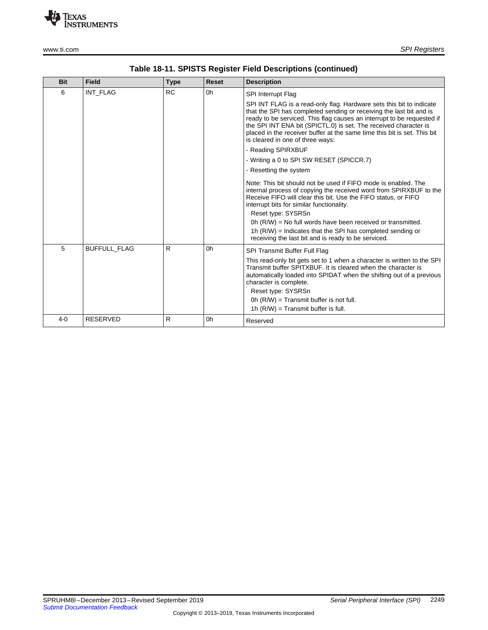

| <b>Bit</b> | <b>Field</b>        | <b>Type</b> | Reset | <b>Description</b>                                                                                                                                                                                                                                                                                                                                                                                                                                                                                |
|------------|---------------------|-------------|-------|---------------------------------------------------------------------------------------------------------------------------------------------------------------------------------------------------------------------------------------------------------------------------------------------------------------------------------------------------------------------------------------------------------------------------------------------------------------------------------------------------|
| 6          | INT FLAG            | <b>RC</b>   | 0h    | SPI Interrupt Flag<br>SPI INT FLAG is a read-only flag. Hardware sets this bit to indicate<br>that the SPI has completed sending or receiving the last bit and is<br>ready to be serviced. This flag causes an interrupt to be requested if<br>the SPI INT ENA bit (SPICTL.0) is set. The received character is<br>placed in the receiver buffer at the same time this bit is set. This bit<br>is cleared in one of three ways:<br>- Reading SPIRXBUF<br>- Writing a 0 to SPI SW RESET (SPICCR.7) |
|            |                     |             |       | - Resetting the system<br>Note: This bit should not be used if FIFO mode is enabled. The<br>internal process of copying the received word from SPIRXBUF to the<br>Receive FIFO will clear this bit. Use the FIFO status, or FIFO<br>interrupt bits for similar functionality.<br>Reset type: SYSRSn<br>0h (R/W) = No full words have been received or transmitted.<br>1h $(R/W)$ = Indicates that the SPI has completed sending or<br>receiving the last bit and is ready to be serviced.         |
| 5          | <b>BUFFULL FLAG</b> | R           | 0h    | SPI Transmit Buffer Full Flag<br>This read-only bit gets set to 1 when a character is written to the SPI<br>Transmit buffer SPITXBUF. It is cleared when the character is<br>automatically loaded into SPIDAT when the shifting out of a previous<br>character is complete.<br>Reset type: SYSRSn<br>Oh $(R/W)$ = Transmit buffer is not full.<br>1h $(R/W)$ = Transmit buffer is full.                                                                                                           |
| $4-0$      | <b>RESERVED</b>     | R           | 0h    | Reserved                                                                                                                                                                                                                                                                                                                                                                                                                                                                                          |

|  |  | Table 18-11. SPISTS Register Field Descriptions (continued) |  |
|--|--|-------------------------------------------------------------|--|
|--|--|-------------------------------------------------------------|--|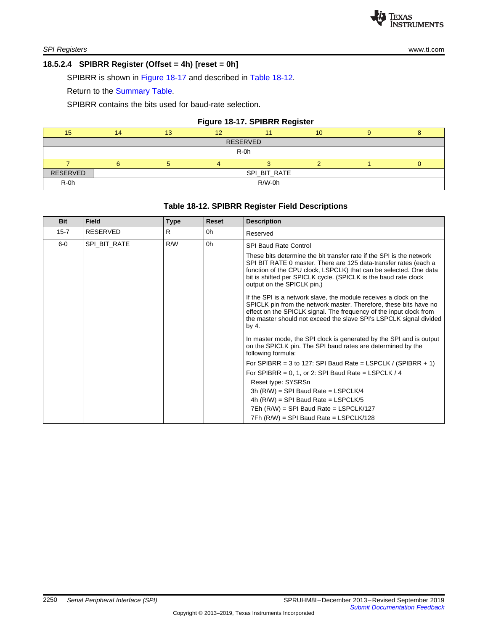# <span id="page-17-0"></span>**18.5.2.4 SPIBRR Register (Offset = 4h) [reset = 0h]**

SPIBRR is shown in [Figure](#page-17-1) 18-17 and described in Table [18-12](#page-17-2).

Return to the [Summary](#page-10-0) Table.

SPIBRR contains the bits used for baud-rate selection.

#### **Figure 18-17. SPIBRR Register**

<span id="page-17-1"></span>

| 15       |          |              | 12 |        | 10 |  |  |  |  |
|----------|----------|--------------|----|--------|----|--|--|--|--|
|          | RESERVED |              |    |        |    |  |  |  |  |
| R-0h     |          |              |    |        |    |  |  |  |  |
|          |          |              |    |        |    |  |  |  |  |
| RESERVED |          | SPI_BIT_RATE |    |        |    |  |  |  |  |
| $R-0h$   |          |              |    | R/W-0h |    |  |  |  |  |

# **Table 18-12. SPIBRR Register Field Descriptions**

<span id="page-17-2"></span>

| <b>Bit</b> | <b>Field</b>    | <b>Type</b> | Reset | <b>Description</b>                                                                                                                                                                                                                                                                                             |
|------------|-----------------|-------------|-------|----------------------------------------------------------------------------------------------------------------------------------------------------------------------------------------------------------------------------------------------------------------------------------------------------------------|
| $15 - 7$   | <b>RESERVED</b> | R           | 0h    | Reserved                                                                                                                                                                                                                                                                                                       |
| $6-0$      | SPI BIT RATE    | R/W         | 0h    | <b>SPI Baud Rate Control</b>                                                                                                                                                                                                                                                                                   |
|            |                 |             |       | These bits determine the bit transfer rate if the SPI is the network<br>SPI BIT RATE 0 master. There are 125 data-transfer rates (each a<br>function of the CPU clock, LSPCLK) that can be selected. One data<br>bit is shifted per SPICLK cycle. (SPICLK is the baud rate clock<br>output on the SPICLK pin.) |
|            |                 |             |       | If the SPI is a network slave, the module receives a clock on the<br>SPICLK pin from the network master. Therefore, these bits have no<br>effect on the SPICLK signal. The frequency of the input clock from<br>the master should not exceed the slave SPI's LSPCLK signal divided<br>by 4.                    |
|            |                 |             |       | In master mode, the SPI clock is generated by the SPI and is output<br>on the SPICLK pin. The SPI baud rates are determined by the<br>following formula:                                                                                                                                                       |
|            |                 |             |       | For SPIBRR = 3 to 127: SPI Baud Rate = LSPCLK / (SPIBRR + 1)                                                                                                                                                                                                                                                   |
|            |                 |             |       | For SPIBRR = 0, 1, or 2: SPI Baud Rate = LSPCLK / 4                                                                                                                                                                                                                                                            |
|            |                 |             |       | Reset type: SYSRSn                                                                                                                                                                                                                                                                                             |
|            |                 |             |       | 3h $(R/W)$ = SPI Baud Rate = LSPCLK/4                                                                                                                                                                                                                                                                          |
|            |                 |             |       | 4h $(R/W)$ = SPI Baud Rate = LSPCLK/5                                                                                                                                                                                                                                                                          |
|            |                 |             |       | $7Eh$ (R/W) = SPI Baud Rate = LSPCLK/127                                                                                                                                                                                                                                                                       |
|            |                 |             |       | 7Fh (R/W) = SPI Baud Rate = LSPCLK/128                                                                                                                                                                                                                                                                         |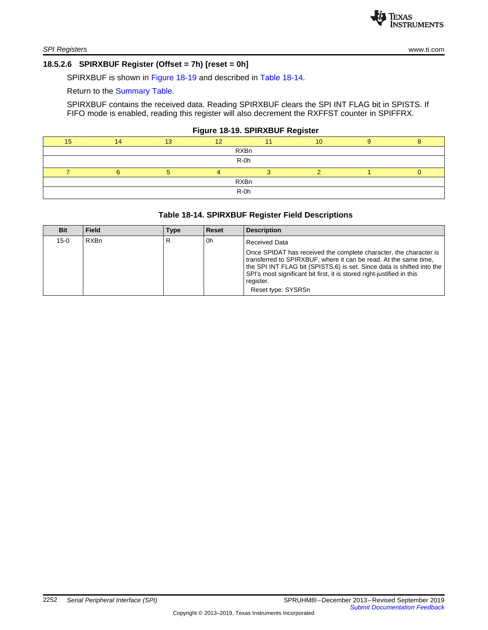# <span id="page-18-0"></span>**18.5.2.6 SPIRXBUF Register (Offset = 7h) [reset = 0h]**

SPIRXBUF is shown in [Figure](#page-18-1) 18-19 and described in Table [18-14](#page-18-2).

Return to the [Summary](#page-10-0) Table.

SPIRXBUF contains the received data. Reading SPIRXBUF clears the SPI INT FLAG bit in SPISTS. If FIFO mode is enabled, reading this register will also decrement the RXFFST counter in SPIFFRX.

#### **Figure 18-19. SPIRXBUF Register**

<span id="page-18-1"></span>

|    |     | . .         |    |  |
|----|-----|-------------|----|--|
| 15 | 4.0 | $\sqrt{2}$  | 10 |  |
|    |     | <b>RXBn</b> |    |  |
|    |     | R-0h        |    |  |
|    |     |             |    |  |
|    |     | <b>RXBn</b> |    |  |
|    |     | R-0h        |    |  |
|    |     |             |    |  |

# **Table 18-14. SPIRXBUF Register Field Descriptions**

<span id="page-18-2"></span>

| <b>Bit</b> | Field | Type | Reset | <b>Description</b>                                                                                                                                                                                                                                                                                                           |
|------------|-------|------|-------|------------------------------------------------------------------------------------------------------------------------------------------------------------------------------------------------------------------------------------------------------------------------------------------------------------------------------|
| 15-0       | RXBn  | R    | 0h    | <b>Received Data</b>                                                                                                                                                                                                                                                                                                         |
|            |       |      |       | Once SPIDAT has received the complete character, the character is<br>transferred to SPIRXBUF, where it can be read. At the same time,<br>the SPI INT FLAG bit (SPISTS.6) is set. Since data is shifted into the<br>SPI's most significant bit first, it is stored right-justified in this<br>register.<br>Reset type: SYSRSn |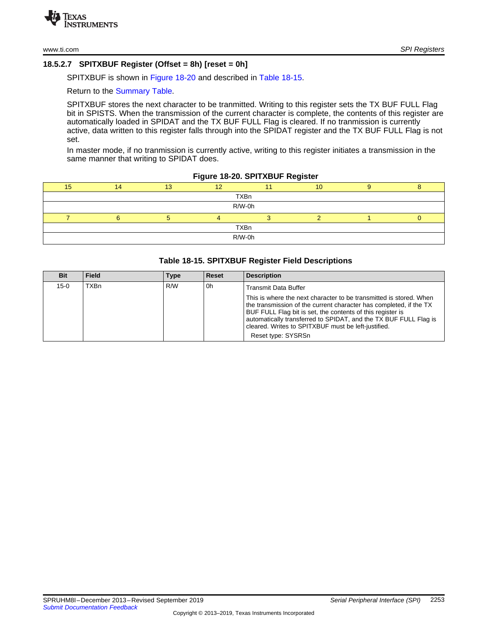# <span id="page-19-0"></span>**18.5.2.7 SPITXBUF Register (Offset = 8h) [reset = 0h]**

SPITXBUF is shown in [Figure](#page-19-1) 18-20 and described in Table [18-15](#page-19-2).

Return to the [Summary](#page-10-0) Table.

SPITXBUF stores the next character to be tranmitted. Writing to this register sets the TX BUF FULL Flag bit in SPISTS. When the transmission of the current character is complete, the contents of this register are automatically loaded in SPIDAT and the TX BUF FULL Flag is cleared. If no tranmission is currently active, data written to this register falls through into the SPIDAT register and the TX BUF FULL Flag is not set.

In master mode, if no tranmission is currently active, writing to this register initiates a transmission in the same manner that writing to SPIDAT does.

**Figure 18-20. SPITXBUF Register**

<span id="page-19-1"></span>

| 15          | 14 | 13 | 12 |  | 10 |  |  |  |  |
|-------------|----|----|----|--|----|--|--|--|--|
| <b>TXBn</b> |    |    |    |  |    |  |  |  |  |
| R/W-0h      |    |    |    |  |    |  |  |  |  |
|             |    |    |    |  |    |  |  |  |  |
| <b>TXBn</b> |    |    |    |  |    |  |  |  |  |
| R/W-0h      |    |    |    |  |    |  |  |  |  |

#### **Table 18-15. SPITXBUF Register Field Descriptions**

<span id="page-19-2"></span>

| <b>Bit</b> | Field | Type | <b>Reset</b> | <b>Description</b>                                                                                                                                                                                                                                                                                                                                      |
|------------|-------|------|--------------|---------------------------------------------------------------------------------------------------------------------------------------------------------------------------------------------------------------------------------------------------------------------------------------------------------------------------------------------------------|
| 15-0       | TXBn  | R/W  | 0h           | <b>Transmit Data Buffer</b>                                                                                                                                                                                                                                                                                                                             |
|            |       |      |              | This is where the next character to be transmitted is stored. When<br>the transmission of the current character has completed, if the TX<br>BUF FULL Flag bit is set, the contents of this register is<br>automatically transferred to SPIDAT, and the TX BUF FULL Flag is<br>cleared. Writes to SPITXBUF must be left-justified.<br>Reset type: SYSRSn |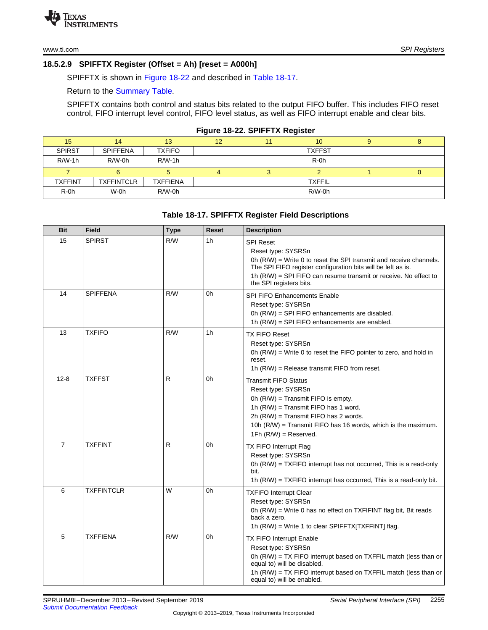# <span id="page-20-0"></span>**18.5.2.9 SPIFFTX Register (Offset = Ah) [reset = A000h]**

SPIFFTX is shown in [Figure](#page-20-1) 18-22 and described in Table [18-17](#page-20-2).

Return to the [Summary](#page-10-0) Table.

SPIFFTX contains both control and status bits related to the output FIFO buffer. This includes FIFO reset control, FIFO interrupt level control, FIFO level status, as well as FIFO interrupt enable and clear bits.

#### **Figure 18-22. SPIFFTX Register**

<span id="page-20-1"></span>

|                |                   |                 |    |    | . .           |   |
|----------------|-------------------|-----------------|----|----|---------------|---|
| 15             | 14                | 13              | 12 | 11 | 10            | o |
| <b>SPIRST</b>  | <b>SPIFFENA</b>   | <b>TXFIFO</b>   |    |    | <b>TXFFST</b> |   |
| $R/W-1h$       | $R/W-0h$          | $R/W-1h$        |    |    | $R-0h$        |   |
|                |                   |                 |    |    |               |   |
| <b>TXFFINT</b> | <b>TXFFINTCLR</b> | <b>TXFFIENA</b> |    |    | <b>TXFFIL</b> |   |
| $R-0h$         | W-0h              | $R/W-0h$        |    |    | $R/W-0h$      |   |

# **Table 18-17. SPIFFTX Register Field Descriptions**

<span id="page-20-2"></span>

| <b>Bit</b>     | <b>Field</b>      | <b>Type</b> | <b>Reset</b>   | <b>Description</b>                                                                                                                                                                                                                                                            |
|----------------|-------------------|-------------|----------------|-------------------------------------------------------------------------------------------------------------------------------------------------------------------------------------------------------------------------------------------------------------------------------|
| 15             | <b>SPIRST</b>     | R/W         | 1 <sub>h</sub> | <b>SPI Reset</b><br>Reset type: SYSRSn<br>0h (R/W) = Write 0 to reset the SPI transmit and receive channels.<br>The SPI FIFO register configuration bits will be left as is.<br>1h $(R/W)$ = SPI FIFO can resume transmit or receive. No effect to<br>the SPI registers bits. |
| 14             | <b>SPIFFENA</b>   | R/W         | 0h             | <b>SPI FIFO Enhancements Enable</b><br>Reset type: SYSRSn<br>0h (R/W) = SPI FIFO enhancements are disabled.<br>1h (R/W) = SPI FIFO enhancements are enabled.                                                                                                                  |
| 13             | <b>TXFIFO</b>     | R/W         | 1 <sub>h</sub> | <b>TX FIFO Reset</b><br>Reset type: SYSRSn<br>0h $(R/W)$ = Write 0 to reset the FIFO pointer to zero, and hold in<br>reset.<br>1h $(R/W)$ = Release transmit FIFO from reset.                                                                                                 |
| $12 - 8$       | <b>TXFFST</b>     | R           | 0h             | <b>Transmit FIFO Status</b><br>Reset type: SYSRSn<br>0h (R/W) = Transmit FIFO is empty.<br>1h (R/W) = Transmit FIFO has 1 word.<br>2h (R/W) = Transmit FIFO has 2 words.<br>10h (R/W) = Transmit FIFO has 16 words, which is the maximum.<br>$1Fh$ (R/W) = Reserved.          |
| $\overline{7}$ | <b>TXFFINT</b>    | R           | 0h             | TX FIFO Interrupt Flag<br>Reset type: SYSRSn<br>0h $(R/W)$ = TXFIFO interrupt has not occurred, This is a read-only<br>bit.<br>1h $(R/W)$ = TXFIFO interrupt has occurred. This is a read-only bit.                                                                           |
| 6              | <b>TXFFINTCLR</b> | W           | 0h             | <b>TXFIFO Interrupt Clear</b><br>Reset type: SYSRSn<br>0h (R/W) = Write 0 has no effect on TXFIFINT flag bit, Bit reads<br>back a zero.<br>1h $(R/W)$ = Write 1 to clear SPIFFTX[TXFFINT] flag.                                                                               |
| 5              | <b>TXFFIENA</b>   | R/W         | 0h             | <b>TX FIFO Interrupt Enable</b><br>Reset type: SYSRSn<br>0h (R/W) = TX FIFO interrupt based on TXFFIL match (less than or<br>equal to) will be disabled.<br>1h (R/W) = TX FIFO interrupt based on TXFFIL match (less than or<br>equal to) will be enabled.                    |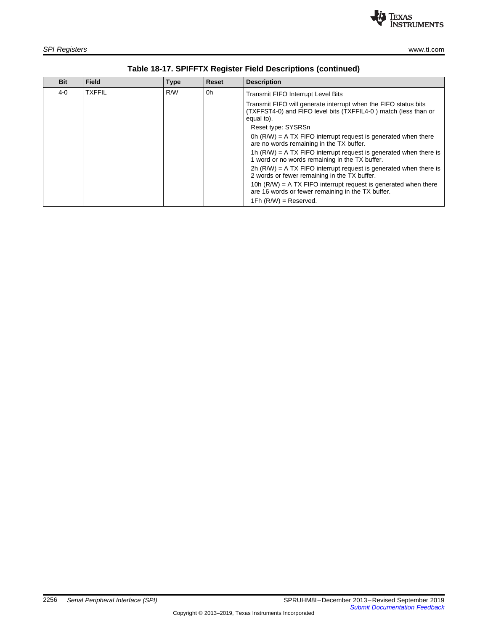

| <b>Bit</b> | <b>Field</b>  | <b>Type</b> | <b>Reset</b> | <b>Description</b>                                                                                                                               |
|------------|---------------|-------------|--------------|--------------------------------------------------------------------------------------------------------------------------------------------------|
| 4-0        | <b>TXFFIL</b> | R/W         | 0h           | <b>Transmit FIFO Interrupt Level Bits</b>                                                                                                        |
|            |               |             |              | Transmit FIFO will generate interrupt when the FIFO status bits<br>(TXFFST4-0) and FIFO level bits (TXFFIL4-0) match (less than or<br>equal to). |
|            |               |             |              | Reset type: SYSRSn                                                                                                                               |
|            |               |             |              | 0h $(R/W)$ = A TX FIFO interrupt request is generated when there<br>are no words remaining in the TX buffer.                                     |
|            |               |             |              | 1h $(R/W)$ = A TX FIFO interrupt request is generated when there is<br>1 word or no words remaining in the TX buffer.                            |
|            |               |             |              | $2h$ (R/W) = A TX FIFO interrupt request is generated when there is<br>2 words or fewer remaining in the TX buffer.                              |
|            |               |             |              | 10h $(R/W)$ = A TX FIFO interrupt request is generated when there<br>are 16 words or fewer remaining in the TX buffer.                           |
|            |               |             |              | $1Fh$ (R/W) = Reserved.                                                                                                                          |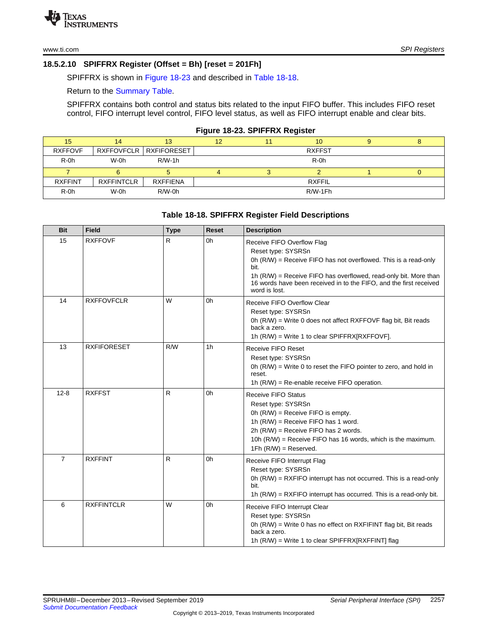# <span id="page-22-0"></span>**18.5.2.10 SPIFFRX Register (Offset = Bh) [reset = 201Fh]**

SPIFFRX is shown in [Figure](#page-22-1) 18-23 and described in Table [18-18](#page-22-2).

Return to the [Summary](#page-10-0) Table.

SPIFFRX contains both control and status bits related to the input FIFO buffer. This includes FIFO reset control, FIFO interrupt level control, FIFO level status, as well as FIFO interrupt enable and clear bits.

#### **Figure 18-23. SPIFFRX Register**

<span id="page-22-1"></span>

| 15             | 14                | 13                                | 12 | 11 <sup>1</sup> | 10 <sup>°</sup> |  |
|----------------|-------------------|-----------------------------------|----|-----------------|-----------------|--|
| <b>RXFFOVF</b> |                   | <b>RXFFOVFCLR   RXFIFORESET  </b> |    |                 | <b>RXFFST</b>   |  |
| $R-0h$         | W-0h              | $R/W-1h$                          |    |                 | $R-0h$          |  |
|                |                   |                                   |    |                 |                 |  |
| <b>RXFFINT</b> | <b>RXFFINTCLR</b> | <b>RXFFIENA</b>                   |    |                 | <b>RXFFIL</b>   |  |
| $R-0h$         | W-0h              | $R/W-0h$                          |    |                 | R/W-1Fh         |  |

#### **Table 18-18. SPIFFRX Register Field Descriptions**

<span id="page-22-2"></span>

| <b>Bit</b>     | <b>Field</b>       | <b>Type</b> | <b>Reset</b> | <b>Description</b>                                                                                                                                                                                                                                                                       |
|----------------|--------------------|-------------|--------------|------------------------------------------------------------------------------------------------------------------------------------------------------------------------------------------------------------------------------------------------------------------------------------------|
| 15             | <b>RXFFOVF</b>     | R.          | 0h           | Receive FIFO Overflow Flag<br>Reset type: SYSRSn<br>0h $(R/W)$ = Receive FIFO has not overflowed. This is a read-only<br>bit.<br>1h (R/W) = Receive FIFO has overflowed, read-only bit. More than<br>16 words have been received in to the FIFO, and the first received<br>word is lost. |
| 14             | <b>RXFFOVFCLR</b>  | W           | 0h           | Receive FIFO Overflow Clear<br>Reset type: SYSRSn<br>0h (R/W) = Write 0 does not affect RXFFOVF flag bit, Bit reads<br>back a zero.<br>1h $(R/W)$ = Write 1 to clear SPIFFRX[RXFFOVF].                                                                                                   |
| 13             | <b>RXFIFORESET</b> | R/W         | 1h           | Receive FIFO Reset<br>Reset type: SYSRSn<br>0h $(R/W)$ = Write 0 to reset the FIFO pointer to zero, and hold in<br>reset.<br>1h $(R/W)$ = Re-enable receive FIFO operation.                                                                                                              |
| $12 - 8$       | <b>RXFFST</b>      | R.          | 0h           | Receive FIFO Status<br>Reset type: SYSRSn<br>Oh $(R/W)$ = Receive FIFO is empty.<br>1h $(R/W)$ = Receive FIFO has 1 word.<br>$2h$ (R/W) = Receive FIFO has 2 words.<br>10h $(R/W)$ = Receive FIFO has 16 words, which is the maximum.<br>$1Fh$ (R/W) = Reserved.                         |
| $\overline{7}$ | <b>RXFFINT</b>     | R           | 0h           | Receive FIFO Interrupt Flag<br>Reset type: SYSRSn<br>0h $(R/W)$ = RXFIFO interrupt has not occurred. This is a read-only<br>bit.<br>1h $(R/W)$ = RXFIFO interrupt has occurred. This is a read-only bit.                                                                                 |
| 6              | <b>RXFFINTCLR</b>  | W           | 0h           | Receive FIFO Interrupt Clear<br>Reset type: SYSRSn<br>0h $(R/W)$ = Write 0 has no effect on RXFIFINT flag bit, Bit reads<br>back a zero.<br>1h (R/W) = Write 1 to clear SPIFFRX[RXFFINT] flag                                                                                            |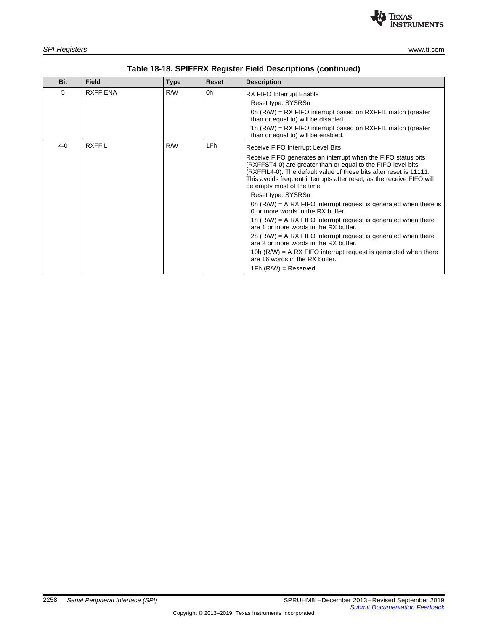

| <b>Bit</b> | <b>Field</b>    | <b>Type</b> | <b>Reset</b> | <b>Description</b>                                                                                                                                                                                                                                                                                         |
|------------|-----------------|-------------|--------------|------------------------------------------------------------------------------------------------------------------------------------------------------------------------------------------------------------------------------------------------------------------------------------------------------------|
| 5          | <b>RXFFIENA</b> | R/W         | 0h           | <b>RX FIFO Interrupt Enable</b>                                                                                                                                                                                                                                                                            |
|            |                 |             |              | Reset type: SYSRSn                                                                                                                                                                                                                                                                                         |
|            |                 |             |              | 0h $(R/W)$ = RX FIFO interrupt based on RXFFIL match (greater<br>than or equal to) will be disabled.                                                                                                                                                                                                       |
|            |                 |             |              | 1h $(R/W)$ = RX FIFO interrupt based on RXFFIL match (greater<br>than or equal to) will be enabled.                                                                                                                                                                                                        |
| $4 - 0$    | <b>RXFFIL</b>   | R/W         | 1Fh          | Receive FIFO Interrupt Level Bits                                                                                                                                                                                                                                                                          |
|            |                 |             |              | Receive FIFO generates an interrupt when the FIFO status bits<br>(RXFFST4-0) are greater than or equal to the FIFO level bits<br>(RXFFIL4-0). The default value of these bits after reset is 11111.<br>This avoids frequent interrupts after reset, as the receive FIFO will<br>be empty most of the time. |
|            |                 |             |              | Reset type: SYSRSn                                                                                                                                                                                                                                                                                         |
|            |                 |             |              | 0h $(R/W)$ = A RX FIFO interrupt request is generated when there is<br>0 or more words in the RX buffer.                                                                                                                                                                                                   |
|            |                 |             |              | 1h $(R/W)$ = A RX FIFO interrupt request is generated when there<br>are 1 or more words in the RX buffer.                                                                                                                                                                                                  |
|            |                 |             |              | $2h$ (R/W) = A RX FIFO interrupt request is generated when there<br>are 2 or more words in the RX buffer.                                                                                                                                                                                                  |
|            |                 |             |              | 10h $(R/W)$ = A RX FIFO interrupt request is generated when there<br>are 16 words in the RX buffer.                                                                                                                                                                                                        |

1Fh (R/W) = Reserved.

# **Table 18-18. SPIFFRX Register Field Descriptions (continued)**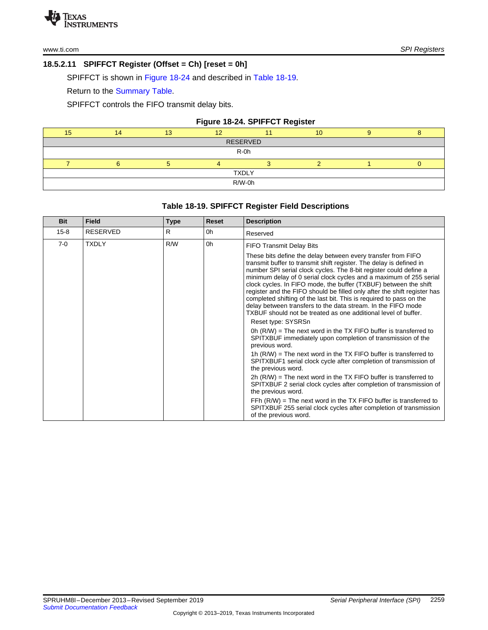# <span id="page-24-0"></span>**18.5.2.11 SPIFFCT Register (Offset = Ch) [reset = 0h]**

SPIFFCT is shown in [Figure](#page-24-1) 18-24 and described in Table [18-19.](#page-24-2)

Return to the [Summary](#page-10-0) Table.

SPIFFCT controls the FIFO transmit delay bits.

# **Figure 18-24. SPIFFCT Register**

<span id="page-24-1"></span>

| 15           |  | 13 | 40 |  | 10 |  |  |  |  |
|--------------|--|----|----|--|----|--|--|--|--|
| RESERVED     |  |    |    |  |    |  |  |  |  |
| $R-0h$       |  |    |    |  |    |  |  |  |  |
|              |  |    |    |  |    |  |  |  |  |
| <b>TXDLY</b> |  |    |    |  |    |  |  |  |  |
| R/W-0h       |  |    |    |  |    |  |  |  |  |

# **Table 18-19. SPIFFCT Register Field Descriptions**

<span id="page-24-2"></span>

| <b>Bit</b> | <b>Field</b>    | <b>Type</b> | <b>Reset</b> | <b>Description</b>                                                                                                                                                                                                                                                                                                                                                                                                                                                                                                                                                                                                                                                                                                                                                                                                   |
|------------|-----------------|-------------|--------------|----------------------------------------------------------------------------------------------------------------------------------------------------------------------------------------------------------------------------------------------------------------------------------------------------------------------------------------------------------------------------------------------------------------------------------------------------------------------------------------------------------------------------------------------------------------------------------------------------------------------------------------------------------------------------------------------------------------------------------------------------------------------------------------------------------------------|
| $15 - 8$   | <b>RESERVED</b> | R           | 0h           | Reserved                                                                                                                                                                                                                                                                                                                                                                                                                                                                                                                                                                                                                                                                                                                                                                                                             |
| $7-0$      | <b>TXDLY</b>    | R/W         | 0h           | <b>FIFO Transmit Delay Bits</b>                                                                                                                                                                                                                                                                                                                                                                                                                                                                                                                                                                                                                                                                                                                                                                                      |
|            |                 |             |              | These bits define the delay between every transfer from FIFO<br>transmit buffer to transmit shift register. The delay is defined in<br>number SPI serial clock cycles. The 8-bit register could define a<br>minimum delay of 0 serial clock cycles and a maximum of 255 serial<br>clock cycles. In FIFO mode, the buffer (TXBUF) between the shift<br>register and the FIFO should be filled only after the shift register has<br>completed shifting of the last bit. This is required to pass on the<br>delay between transfers to the data stream. In the FIFO mode<br>TXBUF should not be treated as one additional level of buffer.<br>Reset type: SYSRSn<br>0h $(R/W)$ = The next word in the TX FIFO buffer is transferred to<br>SPITXBUF immediately upon completion of transmission of the<br>previous word. |
|            |                 |             |              | 1h $(R/W)$ = The next word in the TX FIFO buffer is transferred to<br>SPITXBUF1 serial clock cycle after completion of transmission of<br>the previous word.                                                                                                                                                                                                                                                                                                                                                                                                                                                                                                                                                                                                                                                         |
|            |                 |             |              | $2h$ (R/W) = The next word in the TX FIFO buffer is transferred to<br>SPITXBUF 2 serial clock cycles after completion of transmission of<br>the previous word.                                                                                                                                                                                                                                                                                                                                                                                                                                                                                                                                                                                                                                                       |
|            |                 |             |              | FFh $(R/W)$ = The next word in the TX FIFO buffer is transferred to<br>SPITXBUF 255 serial clock cycles after completion of transmission<br>of the previous word.                                                                                                                                                                                                                                                                                                                                                                                                                                                                                                                                                                                                                                                    |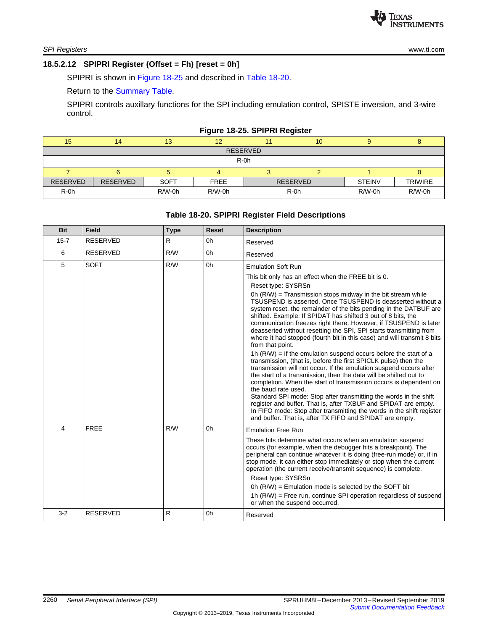# <span id="page-25-0"></span>**18.5.2.12 SPIPRI Register (Offset = Fh) [reset = 0h]**

SPIPRI is shown in [Figure](#page-25-1) 18-25 and described in Table [18-20.](#page-25-2)

Return to the [Summary](#page-10-0) Table.

SPIPRI controls auxillary functions for the SPI including emulation control, SPISTE inversion, and 3-wire control.

#### **Figure 18-25. SPIPRI Register**

<span id="page-25-1"></span>

| 15              | 14              | 13          | 12          |                 | 10 |               |                |  |  |
|-----------------|-----------------|-------------|-------------|-----------------|----|---------------|----------------|--|--|
| <b>RESERVED</b> |                 |             |             |                 |    |               |                |  |  |
| $R-0h$          |                 |             |             |                 |    |               |                |  |  |
|                 |                 |             |             |                 |    |               |                |  |  |
| <b>RESERVED</b> | <b>RESERVED</b> | <b>SOFT</b> | <b>FREE</b> | <b>RESERVED</b> |    | <b>STEINV</b> | <b>TRIWIRE</b> |  |  |
| $R-0h$          |                 | $R/W-0h$    | $R/W-0h$    | $R-0h$          |    | $R/W-0h$      | $R/W-0h$       |  |  |

# **Table 18-20. SPIPRI Register Field Descriptions**

<span id="page-25-2"></span>

| <b>Bit</b> | <b>Field</b>    | <b>Type</b> | <b>Reset</b> | <b>Description</b>                                                                                                                                                                                                                                                                                                                                                                                                                                                                                                                                                                                                                                                                                                                                                                                                                                                                                                                                                                                                                                                                                                                                                                             |
|------------|-----------------|-------------|--------------|------------------------------------------------------------------------------------------------------------------------------------------------------------------------------------------------------------------------------------------------------------------------------------------------------------------------------------------------------------------------------------------------------------------------------------------------------------------------------------------------------------------------------------------------------------------------------------------------------------------------------------------------------------------------------------------------------------------------------------------------------------------------------------------------------------------------------------------------------------------------------------------------------------------------------------------------------------------------------------------------------------------------------------------------------------------------------------------------------------------------------------------------------------------------------------------------|
| $15 - 7$   | <b>RESERVED</b> | R.          | 0h           | Reserved                                                                                                                                                                                                                                                                                                                                                                                                                                                                                                                                                                                                                                                                                                                                                                                                                                                                                                                                                                                                                                                                                                                                                                                       |
| 6          | <b>RESERVED</b> | R/W         | 0h           | Reserved                                                                                                                                                                                                                                                                                                                                                                                                                                                                                                                                                                                                                                                                                                                                                                                                                                                                                                                                                                                                                                                                                                                                                                                       |
| 5          | <b>SOFT</b>     | R/W         | 0h           | <b>Emulation Soft Run</b>                                                                                                                                                                                                                                                                                                                                                                                                                                                                                                                                                                                                                                                                                                                                                                                                                                                                                                                                                                                                                                                                                                                                                                      |
|            |                 |             |              | This bit only has an effect when the FREE bit is 0.                                                                                                                                                                                                                                                                                                                                                                                                                                                                                                                                                                                                                                                                                                                                                                                                                                                                                                                                                                                                                                                                                                                                            |
|            |                 |             |              | Reset type: SYSRSn<br>Oh $(R/W)$ = Transmission stops midway in the bit stream while<br>TSUSPEND is asserted. Once TSUSPEND is deasserted without a<br>system reset, the remainder of the bits pending in the DATBUF are<br>shifted. Example: If SPIDAT has shifted 3 out of 8 bits, the<br>communication freezes right there. However, if TSUSPEND is later<br>deasserted without resetting the SPI, SPI starts transmitting from<br>where it had stopped (fourth bit in this case) and will transmit 8 bits<br>from that point.<br>1h $(R/W)$ = If the emulation suspend occurs before the start of a<br>transmission, (that is, before the first SPICLK pulse) then the<br>transmission will not occur. If the emulation suspend occurs after<br>the start of a transmission, then the data will be shifted out to<br>completion. When the start of transmission occurs is dependent on<br>the baud rate used.<br>Standard SPI mode: Stop after transmitting the words in the shift<br>register and buffer. That is, after TXBUF and SPIDAT are empty.<br>In FIFO mode: Stop after transmitting the words in the shift register<br>and buffer. That is, after TX FIFO and SPIDAT are empty. |
| 4          | <b>FREE</b>     | R/W         | 0h           | <b>Emulation Free Run</b>                                                                                                                                                                                                                                                                                                                                                                                                                                                                                                                                                                                                                                                                                                                                                                                                                                                                                                                                                                                                                                                                                                                                                                      |
|            |                 |             |              | These bits determine what occurs when an emulation suspend<br>occurs (for example, when the debugger hits a breakpoint). The<br>peripheral can continue whatever it is doing (free-run mode) or, if in<br>stop mode, it can either stop immediately or stop when the current<br>operation (the current receive/transmit sequence) is complete.<br>Reset type: SYSRSn<br>0h $(R/W)$ = Emulation mode is selected by the SOFT bit<br>1h (R/W) = Free run, continue SPI operation regardless of suspend                                                                                                                                                                                                                                                                                                                                                                                                                                                                                                                                                                                                                                                                                           |
|            |                 |             |              | or when the suspend occurred.                                                                                                                                                                                                                                                                                                                                                                                                                                                                                                                                                                                                                                                                                                                                                                                                                                                                                                                                                                                                                                                                                                                                                                  |
| $3 - 2$    | <b>RESERVED</b> | R.          | 0h           | Reserved                                                                                                                                                                                                                                                                                                                                                                                                                                                                                                                                                                                                                                                                                                                                                                                                                                                                                                                                                                                                                                                                                                                                                                                       |